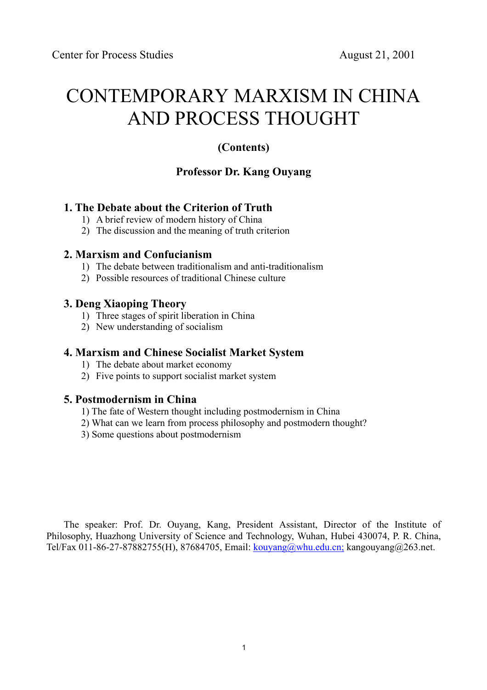# CONTEMPORARY MARXISM IN CHINA AND PROCESS THOUGHT

## **(Contents)**

## **Professor Dr. Kang Ouyang**

## **1. The Debate about the Criterion of Truth**

- 1) A brief review of modern history of China
- 2) The discussion and the meaning of truth criterion

### **2. Marxism and Confucianism**

- 1) The debate between traditionalism and anti-traditionalism
- 2) Possible resources of traditional Chinese culture

### **3. Deng Xiaoping Theory**

- 1) Three stages of spirit liberation in China
- 2) New understanding of socialism

## **4. Marxism and Chinese Socialist Market System**

- 1) The debate about market economy
- 2) Five points to support socialist market system

## **5. Postmodernism in China**

- 1) The fate of Western thought including postmodernism in China
- 2) What can we learn from process philosophy and postmodern thought?
- 3) Some questions about postmodernism

The speaker: Prof. Dr. Ouyang, Kang, President Assistant, Director of the Institute of Philosophy, Huazhong University of Science and Technology, Wuhan, Hubei 430074, P. R. China, Tel/Fax 011-86-27-87882755(H), 87684705, Email: kouyang@whu.edu.cn; kangouyang@263.net.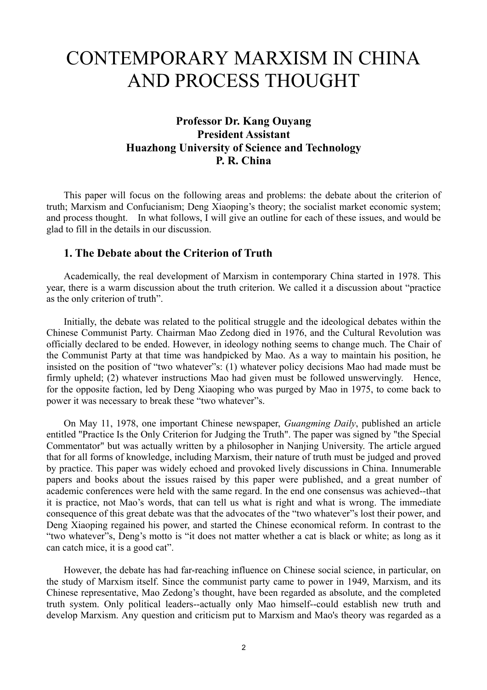# CONTEMPORARY MARXISM IN CHINA AND PROCESS THOUGHT

## **Professor Dr. Kang Ouyang President Assistant Huazhong University of Science and Technology P. R. China**

 This paper will focus on the following areas and problems: the debate about the criterion of truth; Marxism and Confucianism; Deng Xiaoping's theory; the socialist market economic system; and process thought. In what follows, I will give an outline for each of these issues, and would be glad to fill in the details in our discussion.

#### **1. The Debate about the Criterion of Truth**

 Academically, the real development of Marxism in contemporary China started in 1978. This year, there is a warm discussion about the truth criterion. We called it a discussion about "practice as the only criterion of truth".

 Initially, the debate was related to the political struggle and the ideological debates within the Chinese Communist Party. Chairman Mao Zedong died in 1976, and the Cultural Revolution was officially declared to be ended. However, in ideology nothing seems to change much. The Chair of the Communist Party at that time was handpicked by Mao. As a way to maintain his position, he insisted on the position of "two whatever"s: (1) whatever policy decisions Mao had made must be firmly upheld; (2) whatever instructions Mao had given must be followed unswervingly. Hence, for the opposite faction, led by Deng Xiaoping who was purged by Mao in 1975, to come back to power it was necessary to break these "two whatever"s.

 On May 11, 1978, one important Chinese newspaper, *Guangming Daily*, published an article entitled "Practice Is the Only Criterion for Judging the Truth". The paper was signed by "the Special Commentator" but was actually written by a philosopher in Nanjing University. The article argued that for all forms of knowledge, including Marxism, their nature of truth must be judged and proved by practice. This paper was widely echoed and provoked lively discussions in China. Innumerable papers and books about the issues raised by this paper were published, and a great number of academic conferences were held with the same regard. In the end one consensus was achieved--that it is practice, not Mao's words, that can tell us what is right and what is wrong. The immediate consequence of this great debate was that the advocates of the "two whatever"s lost their power, and Deng Xiaoping regained his power, and started the Chinese economical reform. In contrast to the "two whatever"s, Deng's motto is "it does not matter whether a cat is black or white; as long as it can catch mice, it is a good cat".

 However, the debate has had far-reaching influence on Chinese social science, in particular, on the study of Marxism itself. Since the communist party came to power in 1949, Marxism, and its Chinese representative, Mao Zedong's thought, have been regarded as absolute, and the completed truth system. Only political leaders--actually only Mao himself--could establish new truth and develop Marxism. Any question and criticism put to Marxism and Mao's theory was regarded as a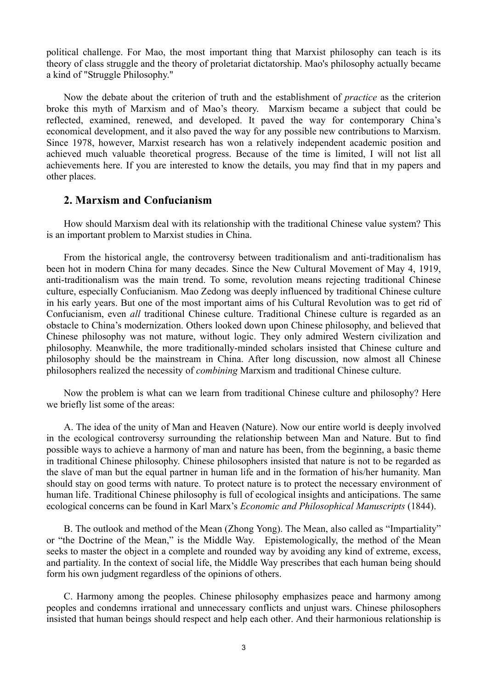political challenge. For Mao, the most important thing that Marxist philosophy can teach is its theory of class struggle and the theory of proletariat dictatorship. Mao's philosophy actually became a kind of "Struggle Philosophy."

 Now the debate about the criterion of truth and the establishment of *practice* as the criterion broke this myth of Marxism and of Mao's theory. Marxism became a subject that could be reflected, examined, renewed, and developed. It paved the way for contemporary China's economical development, and it also paved the way for any possible new contributions to Marxism. Since 1978, however, Marxist research has won a relatively independent academic position and achieved much valuable theoretical progress. Because of the time is limited, I will not list all achievements here. If you are interested to know the details, you may find that in my papers and other places.

#### **2. Marxism and Confucianism**

 How should Marxism deal with its relationship with the traditional Chinese value system? This is an important problem to Marxist studies in China.

 From the historical angle, the controversy between traditionalism and anti-traditionalism has been hot in modern China for many decades. Since the New Cultural Movement of May 4, 1919, anti-traditionalism was the main trend. To some, revolution means rejecting traditional Chinese culture, especially Confucianism. Mao Zedong was deeply influenced by traditional Chinese culture in his early years. But one of the most important aims of his Cultural Revolution was to get rid of Confucianism, even *all* traditional Chinese culture. Traditional Chinese culture is regarded as an obstacle to China's modernization. Others looked down upon Chinese philosophy, and believed that Chinese philosophy was not mature, without logic. They only admired Western civilization and philosophy. Meanwhile, the more traditionally-minded scholars insisted that Chinese culture and philosophy should be the mainstream in China. After long discussion, now almost all Chinese philosophers realized the necessity of *combining* Marxism and traditional Chinese culture.

Now the problem is what can we learn from traditional Chinese culture and philosophy? Here we briefly list some of the areas:

 A. The idea of the unity of Man and Heaven (Nature). Now our entire world is deeply involved in the ecological controversy surrounding the relationship between Man and Nature. But to find possible ways to achieve a harmony of man and nature has been, from the beginning, a basic theme in traditional Chinese philosophy. Chinese philosophers insisted that nature is not to be regarded as the slave of man but the equal partner in human life and in the formation of his/her humanity. Man should stay on good terms with nature. To protect nature is to protect the necessary environment of human life. Traditional Chinese philosophy is full of ecological insights and anticipations. The same ecological concerns can be found in Karl Marx's *Economic and Philosophical Manuscripts* (1844).

 B. The outlook and method of the Mean (Zhong Yong). The Mean, also called as "Impartiality" or "the Doctrine of the Mean," is the Middle Way. Epistemologically, the method of the Mean seeks to master the object in a complete and rounded way by avoiding any kind of extreme, excess, and partiality. In the context of social life, the Middle Way prescribes that each human being should form his own judgment regardless of the opinions of others.

 C. Harmony among the peoples. Chinese philosophy emphasizes peace and harmony among peoples and condemns irrational and unnecessary conflicts and unjust wars. Chinese philosophers insisted that human beings should respect and help each other. And their harmonious relationship is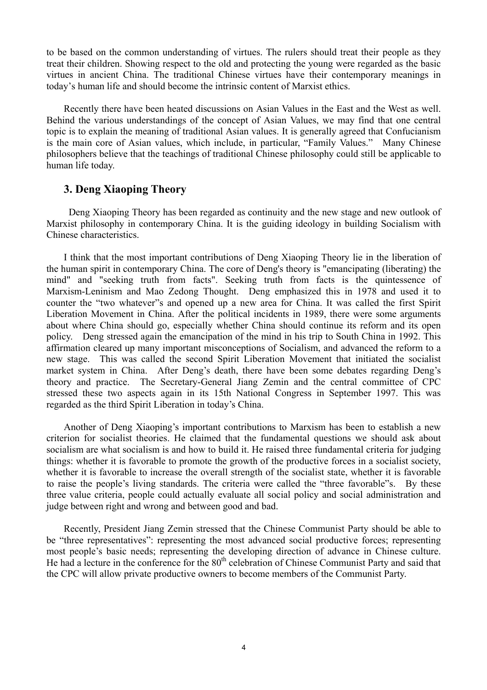to be based on the common understanding of virtues. The rulers should treat their people as they treat their children. Showing respect to the old and protecting the young were regarded as the basic virtues in ancient China. The traditional Chinese virtues have their contemporary meanings in today's human life and should become the intrinsic content of Marxist ethics.

 Recently there have been heated discussions on Asian Values in the East and the West as well. Behind the various understandings of the concept of Asian Values, we may find that one central topic is to explain the meaning of traditional Asian values. It is generally agreed that Confucianism is the main core of Asian values, which include, in particular, "Family Values." Many Chinese philosophers believe that the teachings of traditional Chinese philosophy could still be applicable to human life today.

#### **3. Deng Xiaoping Theory**

 Deng Xiaoping Theory has been regarded as continuity and the new stage and new outlook of Marxist philosophy in contemporary China. It is the guiding ideology in building Socialism with Chinese characteristics.

 I think that the most important contributions of Deng Xiaoping Theory lie in the liberation of the human spirit in contemporary China. The core of Deng's theory is "emancipating (liberating) the mind" and "seeking truth from facts". Seeking truth from facts is the quintessence of Marxism-Leninism and Mao Zedong Thought. Deng emphasized this in 1978 and used it to counter the "two whatever"s and opened up a new area for China. It was called the first Spirit Liberation Movement in China. After the political incidents in 1989, there were some arguments about where China should go, especially whether China should continue its reform and its open policy. Deng stressed again the emancipation of the mind in his trip to South China in 1992. This affirmation cleared up many important misconceptions of Socialism, and advanced the reform to a new stage. This was called the second Spirit Liberation Movement that initiated the socialist market system in China. After Deng's death, there have been some debates regarding Deng's theory and practice. The Secretary-General Jiang Zemin and the central committee of CPC stressed these two aspects again in its 15th National Congress in September 1997. This was regarded as the third Spirit Liberation in today's China.

 Another of Deng Xiaoping's important contributions to Marxism has been to establish a new criterion for socialist theories. He claimed that the fundamental questions we should ask about socialism are what socialism is and how to build it. He raised three fundamental criteria for judging things: whether it is favorable to promote the growth of the productive forces in a socialist society, whether it is favorable to increase the overall strength of the socialist state, whether it is favorable to raise the people's living standards. The criteria were called the "three favorable"s. By these three value criteria, people could actually evaluate all social policy and social administration and judge between right and wrong and between good and bad.

Recently, President Jiang Zemin stressed that the Chinese Communist Party should be able to be "three representatives": representing the most advanced social productive forces; representing most people's basic needs; representing the developing direction of advance in Chinese culture. He had a lecture in the conference for the 80<sup>th</sup> celebration of Chinese Communist Party and said that the CPC will allow private productive owners to become members of the Communist Party.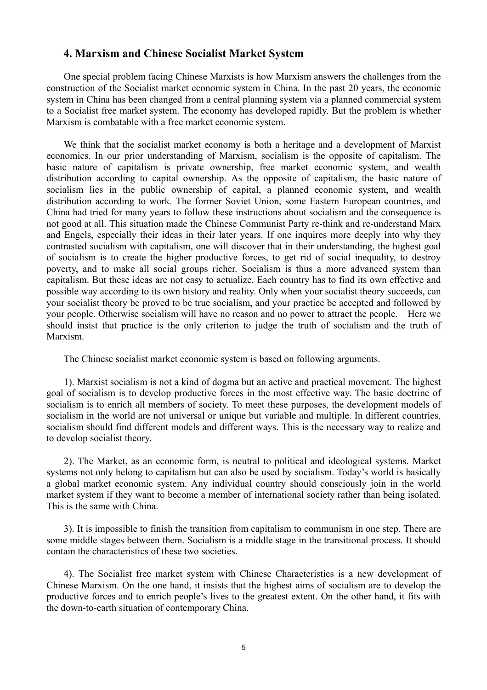#### **4. Marxism and Chinese Socialist Market System**

 One special problem facing Chinese Marxists is how Marxism answers the challenges from the construction of the Socialist market economic system in China. In the past 20 years, the economic system in China has been changed from a central planning system via a planned commercial system to a Socialist free market system. The economy has developed rapidly. But the problem is whether Marxism is combatable with a free market economic system.

 We think that the socialist market economy is both a heritage and a development of Marxist economics. In our prior understanding of Marxism, socialism is the opposite of capitalism. The basic nature of capitalism is private ownership, free market economic system, and wealth distribution according to capital ownership. As the opposite of capitalism, the basic nature of socialism lies in the public ownership of capital, a planned economic system, and wealth distribution according to work. The former Soviet Union, some Eastern European countries, and China had tried for many years to follow these instructions about socialism and the consequence is not good at all. This situation made the Chinese Communist Party re-think and re-understand Marx and Engels, especially their ideas in their later years. If one inquires more deeply into why they contrasted socialism with capitalism, one will discover that in their understanding, the highest goal of socialism is to create the higher productive forces, to get rid of social inequality, to destroy poverty, and to make all social groups richer. Socialism is thus a more advanced system than capitalism. But these ideas are not easy to actualize. Each country has to find its own effective and possible way according to its own history and reality. Only when your socialist theory succeeds, can your socialist theory be proved to be true socialism, and your practice be accepted and followed by your people. Otherwise socialism will have no reason and no power to attract the people. Here we should insist that practice is the only criterion to judge the truth of socialism and the truth of Marxism.

The Chinese socialist market economic system is based on following arguments.

 1). Marxist socialism is not a kind of dogma but an active and practical movement. The highest goal of socialism is to develop productive forces in the most effective way. The basic doctrine of socialism is to enrich all members of society. To meet these purposes, the development models of socialism in the world are not universal or unique but variable and multiple. In different countries, socialism should find different models and different ways. This is the necessary way to realize and to develop socialist theory.

 2). The Market, as an economic form, is neutral to political and ideological systems. Market systems not only belong to capitalism but can also be used by socialism. Today's world is basically a global market economic system. Any individual country should consciously join in the world market system if they want to become a member of international society rather than being isolated. This is the same with China.

 3). It is impossible to finish the transition from capitalism to communism in one step. There are some middle stages between them. Socialism is a middle stage in the transitional process. It should contain the characteristics of these two societies.

 4). The Socialist free market system with Chinese Characteristics is a new development of Chinese Marxism. On the one hand, it insists that the highest aims of socialism are to develop the productive forces and to enrich people's lives to the greatest extent. On the other hand, it fits with the down-to-earth situation of contemporary China.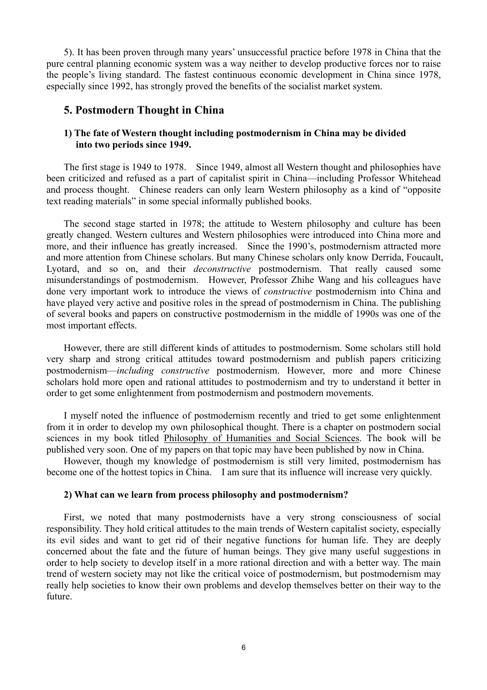5). It has been proven through many years' unsuccessful practice before 1978 in China that the pure central planning economic system was a way neither to develop productive forces nor to raise the people's living standard. The fastest continuous economic development in China since 1978, especially since 1992, has strongly proved the benefits of the socialist market system.

#### **5. Postmodern Thought in China**

#### **1) The fate of Western thought including postmodernism in China may be divided into two periods since 1949.**

The first stage is 1949 to 1978. Since 1949, almost all Western thought and philosophies have been criticized and refused as a part of capitalist spirit in China—including Professor Whitehead and process thought. Chinese readers can only learn Western philosophy as a kind of "opposite text reading materials" in some special informally published books.

The second stage started in 1978; the attitude to Western philosophy and culture has been greatly changed. Western cultures and Western philosophies were introduced into China more and more, and their influence has greatly increased. Since the 1990's, postmodernism attracted more and more attention from Chinese scholars. But many Chinese scholars only know Derrida, Foucault, Lyotard, and so on, and their *deconstructive* postmodernism. That really caused some misunderstandings of postmodernism. However, Professor Zhihe Wang and his colleagues have done very important work to introduce the views of *constructive* postmodernism into China and have played very active and positive roles in the spread of postmodernism in China. The publishing of several books and papers on constructive postmodernism in the middle of 1990s was one of the most important effects.

However, there are still different kinds of attitudes to postmodernism. Some scholars still hold very sharp and strong critical attitudes toward postmodernism and publish papers criticizing postmodernism—*including constructive* postmodernism. However, more and more Chinese scholars hold more open and rational attitudes to postmodernism and try to understand it better in order to get some enlightenment from postmodernism and postmodern movements.

I myself noted the influence of postmodernism recently and tried to get some enlightenment from it in order to develop my own philosophical thought. There is a chapter on postmodern social sciences in my book titled Philosophy of Humanities and Social Sciences. The book will be published very soon. One of my papers on that topic may have been published by now in China.

However, though my knowledge of postmodernism is still very limited, postmodernism has become one of the hottest topics in China. I am sure that its influence will increase very quickly.

#### **2) What can we learn from process philosophy and postmodernism?**

First, we noted that many postmodernists have a very strong consciousness of social responsibility. They hold critical attitudes to the main trends of Western capitalist society, especially its evil sides and want to get rid of their negative functions for human life. They are deeply concerned about the fate and the future of human beings. They give many useful suggestions in order to help society to develop itself in a more rational direction and with a better way. The main trend of western society may not like the critical voice of postmodernism, but postmodernism may really help societies to know their own problems and develop themselves better on their way to the future.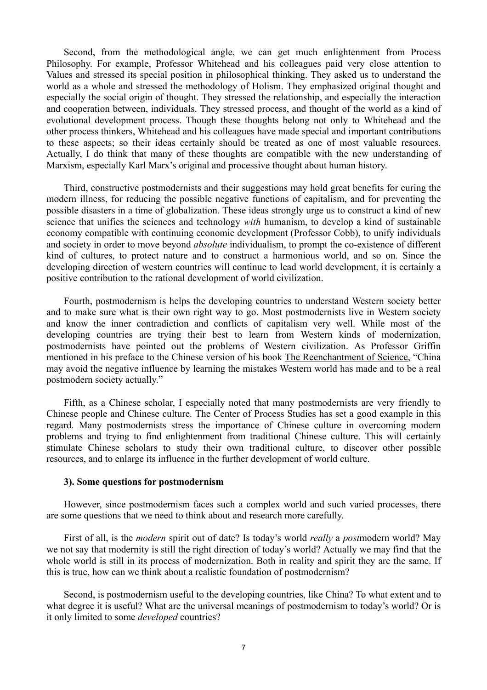Second, from the methodological angle, we can get much enlightenment from Process Philosophy. For example, Professor Whitehead and his colleagues paid very close attention to Values and stressed its special position in philosophical thinking. They asked us to understand the world as a whole and stressed the methodology of Holism. They emphasized original thought and especially the social origin of thought. They stressed the relationship, and especially the interaction and cooperation between, individuals. They stressed process, and thought of the world as a kind of evolutional development process. Though these thoughts belong not only to Whitehead and the other process thinkers, Whitehead and his colleagues have made special and important contributions to these aspects; so their ideas certainly should be treated as one of most valuable resources. Actually, I do think that many of these thoughts are compatible with the new understanding of Marxism, especially Karl Marx's original and processive thought about human history.

Third, constructive postmodernists and their suggestions may hold great benefits for curing the modern illness, for reducing the possible negative functions of capitalism, and for preventing the possible disasters in a time of globalization. These ideas strongly urge us to construct a kind of new science that unifies the sciences and technology *with* humanism, to develop a kind of sustainable economy compatible with continuing economic development (Professor Cobb), to unify individuals and society in order to move beyond *absolute* individualism, to prompt the co-existence of different kind of cultures, to protect nature and to construct a harmonious world, and so on. Since the developing direction of western countries will continue to lead world development, it is certainly a positive contribution to the rational development of world civilization.

Fourth, postmodernism is helps the developing countries to understand Western society better and to make sure what is their own right way to go. Most postmodernists live in Western society and know the inner contradiction and conflicts of capitalism very well. While most of the developing countries are trying their best to learn from Western kinds of modernization, postmodernists have pointed out the problems of Western civilization. As Professor Griffin mentioned in his preface to the Chinese version of his book The Reenchantment of Science, "China may avoid the negative influence by learning the mistakes Western world has made and to be a real postmodern society actually."

Fifth, as a Chinese scholar, I especially noted that many postmodernists are very friendly to Chinese people and Chinese culture. The Center of Process Studies has set a good example in this regard. Many postmodernists stress the importance of Chinese culture in overcoming modern problems and trying to find enlightenment from traditional Chinese culture. This will certainly stimulate Chinese scholars to study their own traditional culture, to discover other possible resources, and to enlarge its influence in the further development of world culture.

#### **3). Some questions for postmodernism**

However, since postmodernism faces such a complex world and such varied processes, there are some questions that we need to think about and research more carefully.

First of all, is the *modern* spirit out of date? Is today's world *really* a *post*modern world? May we not say that modernity is still the right direction of today's world? Actually we may find that the whole world is still in its process of modernization. Both in reality and spirit they are the same. If this is true, how can we think about a realistic foundation of postmodernism?

Second, is postmodernism useful to the developing countries, like China? To what extent and to what degree it is useful? What are the universal meanings of postmodernism to today's world? Or is it only limited to some *developed* countries?